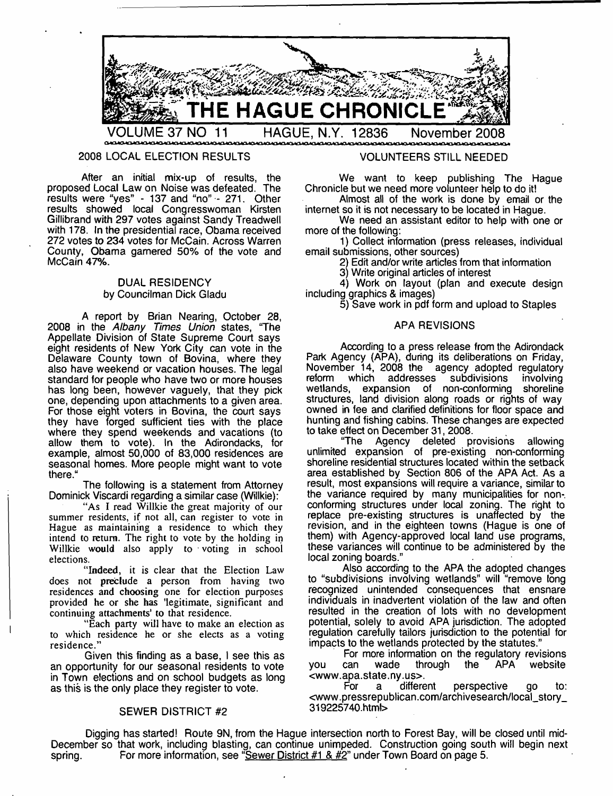

## 2008 LOCAL ELECTION RESULTS

After an initial mix-up of results, the proposed Local Law on Noise was defeated. The results were "yes" - 137 and "no" - 271. Other results showed local Congresswoman Kirsten Gillibrand with 297 votes against Sandy Treadwell with 178. In the presidential race, Obama received 272 votes to 234 votes for McCain. Across Warren County, Obama garnered 50% of the vote and McCain 47%.

## DUAL RESIDENCY by Councilman Dick Gladu

A report by Brian Nearing, October 28, 2008 in the *Albany Times Union* states, "The Appellate Division of State Supreme Court says eight residents of New York City can vote in the Delaware County town of Bovina, where they also have weekend or vacation houses. The legal standard for people who have two or more houses has long been, however vaguely, that they pick one, depending upon attachments to a given area. For those eight voters in Bovina, the court says they have forged sufficient ties with the place where they spend weekends and vacations (to allow them to vote). In the Adirondacks, for example, almost 50,000 of 83,000 residences are seasonal homes. More people might want to vote there."

The following is a statement from Attorney Dominick Viscardi regarding a similar case (Willkie):

"As I read Willkie the great majority of our summer residents, if not all, can register to vote in Hague as maintaining a residence to which they intend to return. The right to vote by the holding in Willkie would also apply to voting in school elections.

"Indeed, it is clear that the Election Law does not preclude a person from having two residences and choosing one for election purposes provided he or she has 'legitimate, significant and continuing attachments' to that residence.

"Each party will have to make an election as to which residence he or she elects as a voting residence."

Given this finding as a base, I see this as an opportunity for our seasonal residents to vote in Town elections and on school budgets as long as this is the only place they register to vote.

## SEWER DISTRICT #2

## VOLUNTEERS STILL NEEDED

We want to keep publishing The Hague Chronicle but we need more volunteer help to do it!

Almost all of the work is done by email or the internet so it is not necessary to be located in Hague.

We need an assistant editor to help with one or more of the following:

1) Collect information (press releases, individual email submissions, other sources)

2) Edit and/or write articles from that information

3) Write original articles of interest

4) Work on layout (plan and execute design including graphics & images)

5) Save work in pdf form and upload to Staples

## APA REVISIONS

According to a press release from the Adirondack Park Agency (APA), during its deliberations on Friday, November 14, 2008 the agency adopted regulatory<br>reform which addresses subdivisions involving addresses subdivisions involving<br>nsion of non-conforming shoreline wetlands, expansion of non-conforming structures, land division along roads or rights of way owned in fee and clarified definitions for floor space and hunting and fishing cabins. These changes are expected to take effect on December 31, 2008.

"The Agency deleted provisions allowing unlimited expansion of pre-existing non-conforming shoreline residential structures located within the setback area established by Section 806 of the APA Act. As a result, most expansions will require a variance, similar to the variance required by many municipalities for nonconforming structures under local zoning. The right to replace pre-existing structures is unaffected by the revision, and in the eighteen towns (Hague is one of them) with Agency-approved local land use programs, these variances will continue to be administered by the local zoning boards."

Also according to the APA the adopted changes to "subdivisions involving wetlands" will "remove long recognized unintended consequences that ensnare individuals in inadvertent violation of the law and often resulted in the creation of lots with no development potential, solely to avoid APA jurisdiction. The adopted regulation carefully tailors jurisdiction to the potential for impacts to the wetlands protected by the statutes."

For more information on the regulatory revisions<br>can wade through the APA website you can wade through <[www.apa.state.ny.us](http://www.apa.state.ny.us)>.

For a different perspective go to: <[www.pressrepublican.com/archivesearch/local\\_story\\_](http://www.pressrepublican.com/archivesearch/local_story_%e2%80%a8319225740.htm!)  [319225740.htm!](http://www.pressrepublican.com/archivesearch/local_story_%e2%80%a8319225740.htm!)>

Digging has started! Route 9N, from the Hague intersection north to Forest Bay, will be closed until mid-December so that work, including blasting, can continue unimpeded. Construction going south will begin next spring. For more information, see "Sewer District  $#1 \& \#2"$  under Town Board on page 5.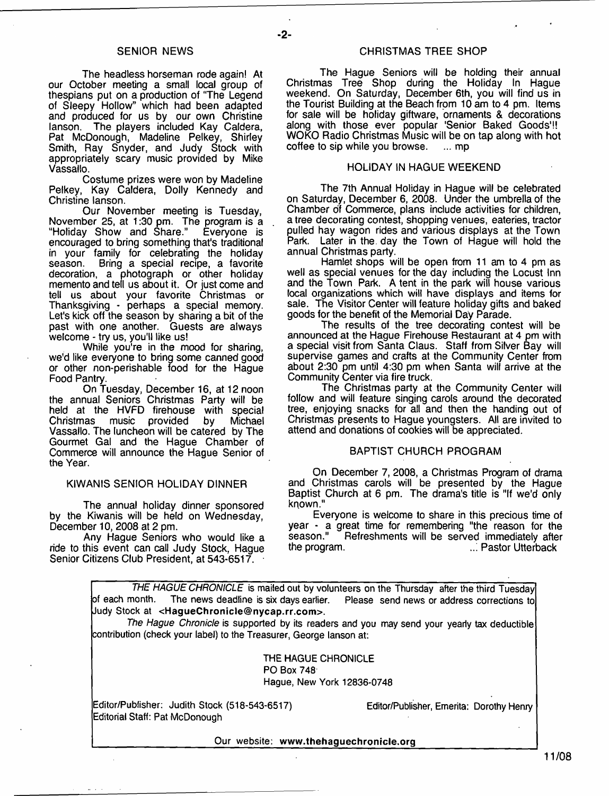- **2**-

The headless horseman rode again! At our October meeting a small local group of thespians put on a production of "The Legend of Sleepy Hollow" which had been adapted and produced for us by our own Christine lanson. The players included Kay Caldera, Pat McDonough, Madeline Pelkey, Shirley Smith, Ray Snyder, and Judy Stock with appropriately scary music provided by Mike Vassallo.

Costume prizes were won by Madeline Pelkey, Kay Caldera, Dolly Kennedy and Christine lanson.

Our November meeting is Tuesday, November 25, at 1:30 pm. The program is a<br>"Holiday Show and Share." Everyone is "Holiday Show and Share." encouraged to bring something that's traditional in your family for celebrating the holiday<br>season. Bring a special recipe a favorite Bring a special recipe, a favorite decoration, a photograph or other holiday memento and tell us about it. Or just come and tell us about your favorite Christmas or Thanksgiving - perhaps a special memory. Let's kick off the season by sharing a bit of the past with one another. Guests are always welcome - try us, you'll like us!

While you're in the mood for sharing, we'd like everyone to bring some canned good or other non-perishable food for the Hague Food Pantry.

On Tuesday, December 16, at 12 noon the annual Seniors Christmas Party will be held at the HVFD firehouse with special Christmas music provided by Michael Vassallo. The luncheon will be catered by The Gourmet Gal and the Hague Chamber of Commerce will announce the Hague Senior of the Year.

## KIWANIS SENIOR HOLIDAY DINNER

The annual holiday dinner sponsored by the Kiwanis will be held on Wednesday, December 10, 2008 at 2 pm.

Any Hague Seniors who would like a ride to this event can call Judy Stock, Hague Senior Citizens Club President, at 543-6517.

## SENIOR NEWS CHRISTMAS TREE SHOP

The Hague Seniors will be holding their annual Christmas Tree Shop during the Holiday In Hague weekend. On Saturday, December 6th, you will find us in the Tourist Building at the Beach from 10 am to 4 pm. Items for sale will be holiday giftware, ornaments & decorations along with those ever popular 'Senior Baked Goods'!! WOKO Radio Christmas Music will be on tap along with hot coffee to sip while you browse. coffee to sip while you browse.

## HOLIDAY IN HAGUE WEEKEND

The 7th Annual Holiday in Hague will be celebrated on Saturday, December 6, 2008. Under the umbrella of the Chamber of Commerce, plans include activities for children, a tree decorating contest, shopping venues, eateries, tractor pulled hay wagon rides and various displays at the Town Park. Later in the. day the Town of Hague will hold the annual Christmas party.

Hamlet shops will be open from 11 am to 4 pm as well as special venues for the day including the Locust Inn and the Town Park. A tent in the park will house various local organizations which will have displays and items for sale. The Visitor Center will feature holiday gifts and baked goods for the benefit of the Memorial Day Parade.

The results of the tree decorating contest will be announced at the Hague Firehouse Restaurant at 4 pm with a special visit from Santa Claus. Staff from Silver Bay will supervise games and crafts at the Community Center from about 2:30 pm until 4:30 pm when Santa will arrive at the Community Center via fire truck.

The Christmas party at the Community Center will follow and will feature singing carols around the decorated tree, enjoying snacks for all and then the handing out of Christmas presents to Hague youngsters. All are invited to attend and donations of cookies will be appreciated.

## BAPTIST CHURCH PROGRAM

On December 7, 2008, a Christmas Program of drama and Christmas carols will be presented by the Hague Baptist Church at 6 pm. The drama's title is "If we'd only known."

Everyone is welcome to share in this precious time of year - a great time for remembering "the reason for the<br>season." Befreshments will be served immediately after season." Aefreshments will be served immediately after the program.<br>the program. (in the program) ..: Pastor Utterback

**THE HAGUE CHRONICLE** is mailed out by volunteers on the Thursday after the third Tuesday<br>of each month. The news deadline is six days earlier. Please send news or address corrections to Please send news or address corrections to Judy Stock at **<[HagueChronicle@nycap.rr.com>](mailto:HagueChronicle@nycap.rr.com).** *The Hague Chronicle* is supported by its readers and you may send your yearly tax deductible contribution (check your label) to the Treasurer, George lanson at:

> THE HAGUE CHRONICLE PO Box 748 Hague, New York 12836-0748

Editor/Publisher: Judith Stock (518-543-6517) Editor/Publisher, Emerita: Dorothy Henry Editorial Staff: Pat McDonough

\_\_\_\_\_\_\_\_\_\_\_\_\_\_\_\_\_\_\_\_\_\_ Our website: **[www.thehaguechronicle.org\\_](http://www.thehaguechronicle.org)\_\_\_\_\_\_\_\_\_\_**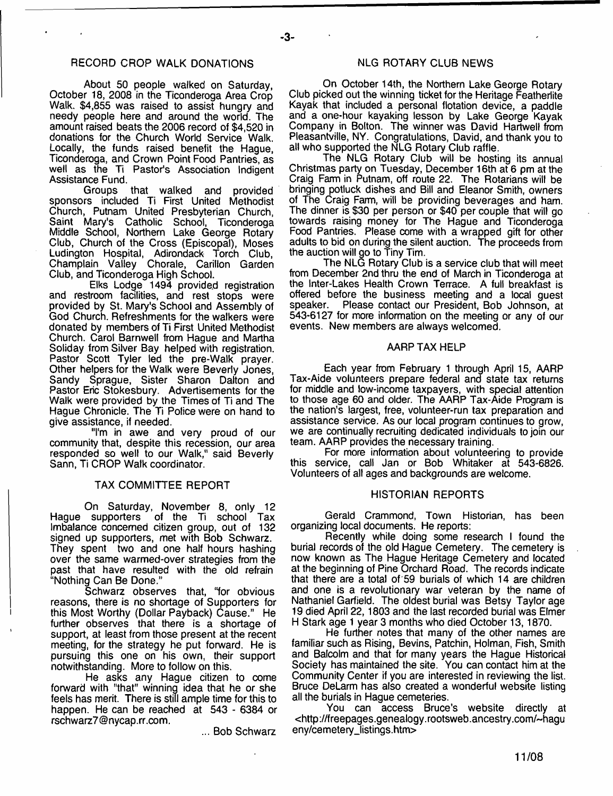## RECORD CROP WALK DONATIONS NUGROTARY CLUB NEWS

About 50 people walked on Saturday, October 18, 2008 in the Ticonderoga Area Crop Walk. \$4,855 was raised to assist hungry and needy people here and around the world. The amount raised beats the 2006 record of \$4,520 in donations for the Church World Service Walk. Locally, the funds raised benefit the Hague, Ticonderoga, and Crown Point Food Pantries, as well as the Ti Pastor's Association Indigent Assistance Fund.

Groups that walked and provided sponsors included Ti First United Methodist Church, Putnam United Presbyterian Church, Saint Mary's Catholic School, Ticonderoga Middle School, Northern Lake George Rotary Club, Church of the Cross (Episcopal), Moses Ludington Hospital, Adirondack Torch Club, Champlain Valley Chorale, Carillon Garden Club, and Ticonderoga High School.

Elks Lodge 1494 provided registration and restroom facilities, and rest stops were provided by St. Mary's School and Assembly of God Church, Refreshments for the walkers were donated by members of Ti First United Methodist Church. Carol Barnwell from Hague and Martha Soliday from Silver Bay helped with registration. Pastor Scott Tyler led the pre-Walk prayer. Other helpers for the Walk were Beverly Jones, Sandy Sprague, Sister Sharon Dalton and Pastor Eric Stokesbury. Advertisements for the Walk were provided by the Times of Ti and The Hague Chronicle. The Ti Police were on hand to give assistance, if needed.

"I'm in awe and very proud of our community that, despite this recession, our area responded so well to our Walk," said Beverly Sann, Ti CROP Walk coordinator.

## TAX COMMITTEE REPORT

On Saturday, November 8, only 12 Hague supporters of the Ti school Tax Imbalance concerned citizen group, out of 132 signed up supporters, met with Bob Schwarz. They spent two and one half hours hashing over the same warmed-over strategies from the past that have resulted with the old refrain "Nothing Can Be Done."

Schwarz observes that, "for obvious reasons, there is no shortage of Supporters for this Most Worthy (Dollar Payback) Cause." He further observes that there is a shortage of support, at least from those present at the recent meeting, for the strategy he put forward. He is pursuing this one on his own, their support notwithstanding. More to follow on this.

He asks any Hague citizen to come forward with "that" winning idea that he or she feels has merit. There is still ample time for this to happen. He can be reached at 543 - 6384 or [rschwarz7@nycap.rr.com](mailto:rschwarz7@nycap.rr.com).

... Bob Schwarz

On October 14th, the Northern Lake George Rotary Club picked out the winning ticket for the Heritage Featherlite Kayak that included a personal flotation device, a paddle and a one-hour kayaking lesson by Lake George Kayak Company in Bolton. The winner was David Hartwell from Pleasantville, NY. Congratulations, David, and thank you to all who supported the NLG Rotary Club raffle.

The NLG Rotary Club will be hosting its annual Christmas party on Tuesday, December 16th at 6 pm at the Craig Farm in Putnam, off route 22. The Rotarians will be bringing potluck dishes and Bill and Eleanor Smith, owners of The Craig Farm, will be providing beverages and ham. The dinner is \$30 per person or \$40 per couple that will go towards raising money for The Hague and Ticonderoga Food Pantries. Please come with a wrapped gift for other adults to bid on during the silent auction. The proceeds from the auction will go to Tiny Tim.

The NLG Rotary Club is a service club that will meet from December 2nd thru the end of March in Ticonderoga at the Inter-Lakes Health Crown Terrace. A full breakfast is offered before the business meeting and a local guest<br>speaker. Please contact our President. Bob Johnson, at Please contact our President, Bob Johnson, at 543-6127 for more information on the meeting or any of our events. New members are always welcomed.

#### AARP TAX HELP

Each year from February 1 through April 15, AARP Tax-Aide volunteers prepare federal and state tax returns for middle and low-income taxpayers, with special attention to those age 60 and older. The AARP Tax-Aide Program is the nation's largest, free, volunteer-run tax preparation and assistance service. As our local program continues to grow, we are continually recruiting dedicated individuals to join our team. AARP provides the necessary training.

For more information about volunteering to provide this service, call Jan or Bob Whitaker at 543-6826. Volunteers of all ages and backgrounds are welcome.

## HISTORIAN REPORTS

Gerald Crammond, Town Historian, has been organizing local documents. He reports:

Recently while doing some research I found the burial records of the old Hague Cemetery. The cemetery is now known as The Hague Heritage Cemetery and located at the beginning of Pine Orchard Road. The records indicate that there are a total of 59 burials of which 14 are children and one is a revolutionary war veteran by the name of Nathaniel Garfield. The oldest burial was Betsy Taylor age 19 died April 22,1803 and the last recorded burial was Elmer H Stark age 1 year 3 months who died October 13,1870.

He further notes that many of the other names are familiar such as Rising, Bevins, Patchin, Holman, Fish, Smith and Balcolm and that for many years the Hague Historical Society has maintained the site. You can contact him at the Community Center if you are interested in reviewing the list. Bruce DeLarm has also created a wonderful website listing all the burials in Hague cemeteries.

You can access Bruce's website directly at <[http://freepages.genealogy.rootsweb.ancestry.com/-hagu](http://freepages.genealogy.rootsweb.ancestry.com/-hagu%e2%80%a8eny/cemetery_listings.htm) [eny/cemetery\\_listings.htm>](http://freepages.genealogy.rootsweb.ancestry.com/-hagu%e2%80%a8eny/cemetery_listings.htm)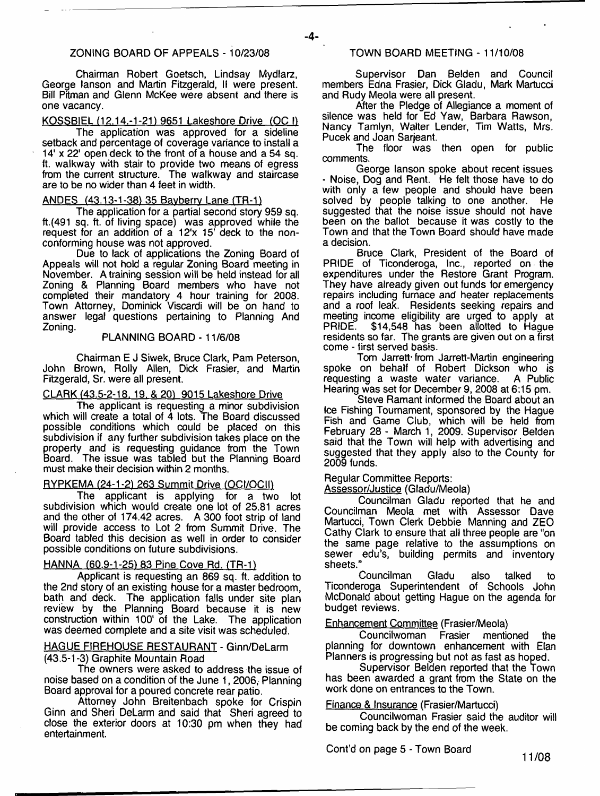## ZONING BOARD OF APPEALS - 10/23/08

Chairman Robert Goetsch, Lindsay Mydlarz, George lanson and Martin Fitzgerald, II were present. Bill Pitman and Glenn McKee were absent and there is one vacancy.

## KOSSBIEL (12.14.-1-21) 9651 Lakeshore Drive (OC I)

The application was approved for a sideline setback and percentage of coverage variance to install a 14' x 22' open deck to the front of a house and a 54 sq. ft. walkway with stair to provide two means of egress from the current structure. The walkway and staircase are to be no wider than 4 feet in width.

## ANDES (43.13-1-38) 35 Bayberry Lane (TR-1)

The application for a partial second story 959 sq. ft.(491 sq. ft. of living space) was approved while the request for an addition of a 12'x 15' deck to the nonconforming house was not approved.

Due to lack of applications the Zoning Board of Appeals will not hold a regular Zoning Board meeting in November. A training session will be held instead for all Zoning & Planning Board members who have not completed their mandatory 4 hour training for 2008. Town Attorney, Dominick Viscardi will be on hand to answer legal questions pertaining to Planning And Zoning.

## PLANNING BOARD - 11/6/08

Chairman E J Siwek, Bruce Clark, Pam Peterson, John Brown, Roily Allen, Dick Frasier, and Martin Fitzgerald, Sr. were all present.

## CLARK (43.5-2-18, 19, & 20) 9015 Lakeshore Drive

The applicant is requesting a minor subdivision which will create a total of 4 lots. The Board discussed possible conditions which could be placed on this subdivision if any further subdivision takes place on the property and is requesting guidance from the Town Board. The issue was tabled but the Planning Board must make their decision within 2 months.

## RYPKEMA (24-1-2) 263 Summit Drive (OCI/OCII)

The applicant is applying for a two lot subdivision which would create one lot of 25.81 acres and the other of 174.42 acres. A 300 foot strip of land will provide access to Lot 2 from Summit Drive. The Board tabled this decision as well in order to consider possible conditions on future subdivisions.

## HANNA (60.9-1-25) 83 Pine Cove Rd. (TR-1)

Applicant is requesting an 869 sq. ft. addition to the 2nd story of an existing house for a master bedroom, bath and deck. The application falls under site plan review by the Planning Board because it is new construction within 100' of the Lake. The application was deemed complete and a site visit was scheduled.

## HAGUE FIREHOUSE RESTAURANT - Ginn/DeLarm (43.5-1 -3) Graphite Mountain Road

The owners were asked to address the issue of noise based on a condition of the June 1, 2006, Planning Board approval for a poured concrete rear patio.

Attorney John Breitenbach spoke for Crispin Ginn and Sheri DeLarm and said that Sheri agreed to close the exterior doors at 10:30 pm when they had entertainment.

## TOWN BOARD MEETING - 11/10/08

Supervisor Dan Belden and Council members Edna Frasier, Dick Gladu, Mark Martucci and Rudy Meola were all present.

After the Pledge of Allegiance a moment of silence was held for Ed Yaw, Barbara Rawson, Nancy Tamlyn, Walter Lender, Tim Watts, Mrs. Pucek and Joan Sarjeant.

The floor was then open for public comments.

George lanson spoke about recent issues - Noise, Dog and Rent. He felt those have to do with only a few people and should have been solved by people talking to one another. He suggested that the noise issue should not have been on the ballot because it was costly to the Town and that the Town Board should have made a decision.

Bruce Clark, President of the Board of PRIDE of Ticonderoga, Inc., reported on the expenditures under the Restore Grant Program. They have already given out funds for emergency repairs including furnace and heater replacements and a roof leak. Residents seeking repairs and meeting income eligibility are urged to apply at<br>PRIDE. \$14,548 has been allotted to Haque \$14,548 has been allotted to Hague residents so far. The grants are given out on a first come - first served basis.

Tom Jarrett'from Jarrett-Martin engineering spoke on behalf of Robert Dickson who is requesting a waste water variance. A Public Hearing was set for December 9, 2008 at 6:15 pm.

Steve Ramant informed the Board about an Ice Fishing Tournament, sponsored by the Hague Fish and Game Club, which will be held from February 28 - March 1, 2009. Supervisor Belden said that the Town will help with advertising and suggested that they apply also to the County for 2009 funds.

## Regular Committee Reports:

Assessor/Justice (Gladu/Meola)

Councilman Gladu reported that he and Councilman Meola met with Assessor Dave Martucci, Town Clerk Debbie Manning and ZEO Cathy Clark to ensure that all three people are "on the same page relative to the assumptions on sewer edu's, building permits and inventory sheets."

Councilman Gladu also talked to Ticonderoga Superintendent of Schools John McDonald about getting Hague on the agenda for budget reviews.

## Enhancement Committee (Frasier/Meola)

Councilwoman Frasier mentioned the planning for downtown enhancement with Elan Planners is progressing but not as fast as hoped.

Supervisor Belden reported that the Town has been awarded a grant from the State on the work done on entrances to the Town.

## Finance & Insurance (Frasier/Martucci)

Councilwoman Frasier said the auditor will be coming back by the end of the week.

Cont'd on page 5 - Town Board

11/08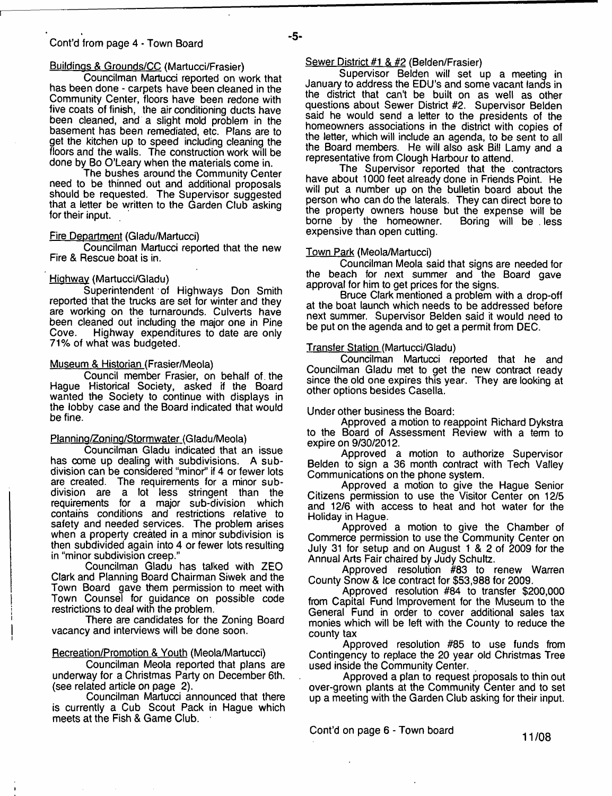## Buildinas & Grounds/CC (Martucci/Frasier)

Councilman Martucci reported on work that has been done - carpets have been cleaned in the Community Center, floors have been redone with five coats of finish, the air conditioning ducts have been cleaned, and a slight mold problem in the basement has been remediated, etc. Plans are to get the kitchen up to speed including cleaning the floors and the walls. The construction work will be done by Bo O'Leary when the materials come in.

The bushes around the Community Center need to be thinned out and additional proposals should be requested. The Supervisor suggested that a letter be written to the Garden Club asking for their input.

## Fire Department (Gladu/Martucci)

Councilman Martucci reported that the new Fire & Rescue boat is in.

## Highway (Martucci/Gladu)

Superintendent of Highways Don Smith reported that the trucks are set for winter and they are working on the turnarounds. Culverts have been cleaned out including the major one in Pine<br>Cove. Highway expenditures to date are only Highway expenditures to date are only 71% of what was budgeted.

## Museum & Historian (Frasier/Meola)

Council member Frasier, on behalf of. the Hague Historical Society, asked if the Board wanted the Society to continue with displays in the lobby case and the Board indicated that would be fine.

## Planning/Zoning/Stormwater (Gladu/Meola)

Councilman Gladu indicated that an issue has come up dealing with subdivisions. A subdivision can be considered "minor" if 4 or fewer lots are created. The requirements for a minor subdivision are a lot less stringent than the requirements for a major sub-division which contains conditions and restrictions relative to safety and needed services. The problem arises when a property created in a minor subdivision is then subdivided again into 4 or fewer lots resulting in "minor subdivision creep."

Councilman Gladu has talked with ZEO Clark and Planning Board Chairman Siwek and the Town Board gave them permission to meet with Town Counsel for guidance on possible code restrictions to deal with the problem.

There are candidates for the Zoning Board vacancy and interviews will be done soon.

## Recreation/Promotion & Youth (Meola/Martucci)

Councilman Meola reported that plans are underway for a Christmas Party on December 6th. (see related article on page 2).

Councilman Martucci announced that there is currently a Cub Scout Pack in Hague which meets at the Fish & Game Club.

## Sewer District #1 & #2 (Belden/Frasier)

Supervisor Belden will set up a meeting in January to address the EDU's and some vacant lands in the district that can't be built on as well as other questions about Sewer District #2. Supervisor Belden said he would send a letter to the presidents of the homeowners associations in the district with copies of the letter, which will include an agenda, to be sent to all the Board members. He will also ask Bill Lamy and a representative from Clough Harbour to attend.

The Supervisor reported that the contractors have about 1000 feet already done in Friends Point. He will put a number up on the bulletin board about the person who can do the laterals. They can direct bore to the property owners house but the expense will be<br>borne by the homeowner. Boring will be less borne by the homeowner. expensive than open cutting.

## Town Park (Meola/Martucci)

Councilman Meola said that signs are needed for the beach for next summer and the Board gave approval for him to get prices for the signs.

Bruce Clark mentioned a problem with a drop-off at the boat launch which needs to be addressed before next summer. Supervisor Belden said it would need to be put on the agenda and to get a permit from DEC.

### Transfer Station (Martucci/Gladu)

Councilman Martucci reported that he and Councilman Gladu met to get the new contract ready since the old one expires this year. They are looking at other options besides Casella.

Under other business the Board:

Approved a motion to reappoint Richard Dykstra to the Board of Assessment Review with a term to expire on 9/30/2012.

Approved a motion to authorize Supervisor Belden to sign a 36 month contract with Tech Valley Communications on the phone system.

Approved a motion to give the Hague Senior Citizens permission to use the Visitor Center on 12/5 and 12/6 with access to heat and hot water for the Holiday in Hague.

Approved a motion to give the Chamber of Commerce permission to use the Community Center on July 31 for setup and on August 1 & 2 of 2009 for the Annual Arts Fair chaired by Judy Schultz.

Approved resolution #83 to renew Warren County Snow & Ice contract for \$53,988 for 2009.

Approved resolution #84 to transfer \$200,000 from Capital Fund Improvement for the Museum to the General Fund in order to cover additional sales tax monies which will be left with the County to reduce the county tax

Approved resolution #85 to use funds from Contingency to replace the 20 year old Christmas Tree used inside the Community Center.

Approved a plan to request proposals to thin out over-grown plants at the Community Center and to set up a meeting with the Garden Club asking for their input.

Cont'd on page 6 - Town board 11/08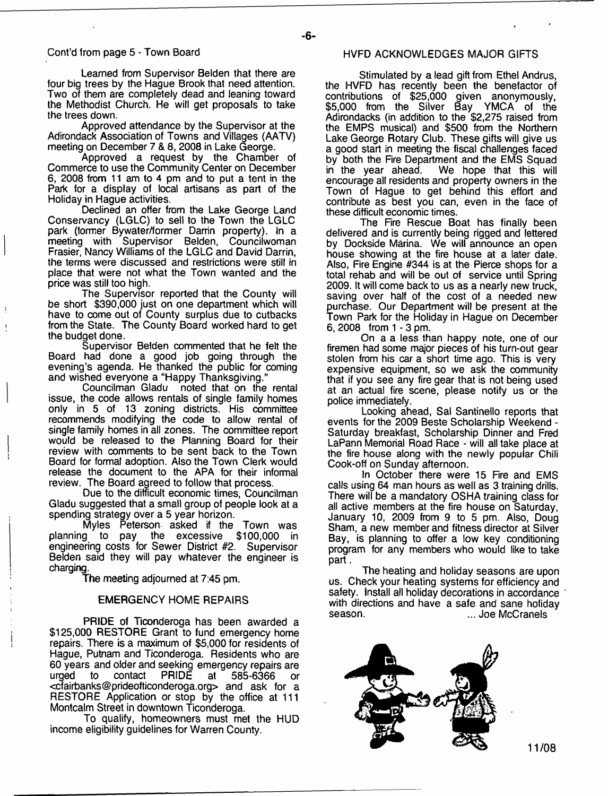Learned from Supervisor Belden that there are four big trees by the Hague Brook that need attention. Two of them are completely dead and leaning toward the Methodist Church. He will get proposals to take the trees down.

Approved attendance by the Supervisor at the Adirondack Association of Towns and Villages (AATV) meeting on December 7 & 8, 2008 in Lake George.

Approved a request by the Chamber of Commerce to use the Community Center on December 6, 2008 from 11 am to 4 pm and to put a tent in the Park for a display of local artisans as part of the Holiday in Hague activities.

Declined an offer from the Lake George Land Conservancy (LGLC) to sell to the Town the LGLC park (former Bywater/former Darrin property). In a meeting with Supervisor Belden, Councilwoman Frasier, Nancy Williams of the LGLC and David Darrin, the terms were discussed and restrictions were still in place that were not what the Town wanted and the price was still too high.

The Supervisor reported that the County will be short \$390,000 just on one department which will have to come out of County surplus due to cutbacks from the State. The County Board worked hard to get the budget done.

Supervisor Belden commented that he felt the Board had done a good job going through the evening's agenda. He thanked the public for coming and wished everyone a "Happy Thanksgiving."

Councilman Gladu noted that on the rental issue, the code allows rentals of single family homes only in 5 of 13 zoning districts. His committee recommends modifying the code to allow rental of single family homes in all zones. The committee report would be released to the Planning Board for their review with comments to be sent back to the Town Board for formal adoption. Also the Town Clerk would release the document to the APA for their informal review. The Board agreed to follow that process.

Due to the difficult economic times, Councilman Gladu suggested that a small group of people look at a spending strategy over a 5 year horizon.

Myles Peterson asked if the Town was planning to pay the excessive \$100,000 in engineering costs for Sewer District #2. Supervisor Belden said they will pay whatever the engineer is charging.

The meeting adjourned at 7:45 pm.

## EMERGENCY HOME REPAIRS

PRIDE of Ticonderoga has been awarded a \$125,000 RESTORE Grant to fund emergency home repairs. There is a maximum of \$5,000 for residents of Hague, Putnam and Ticonderoga. Residents who are 60 years and older and seeking emergency repairs are to contact PRIDE at 585-6366 or [<cfairbanks@prideofticonderoga.org](mailto:cfairbanks@prideofticonderoga.org)> and ask for a RESTORE Application or stop by the office at 111 Montcalm Street in downtown Ticonderoga.

To qualify, homeowners must met the HUD income eligibility guidelines for Warren County.

## HVFD ACKNOWLEDGES MAJOR GIFTS

Stimulated by a lead gift from Ethel Andrus, the HVFD has recently been the benefactor of contributions of \$25,000 given anonymously, \$5,000 from the Silver Bay YMCA of the Adirondacks (in addition to the \$2,275 raised from the EMPS musical) and \$500 from the Northern Lake George Rotary Club. These gifts will give us a good start in meeting the fiscal challenges faced by both the Fire Department and the EMS Squad<br>in the year ahead. We hope that this will We hope that this will encourage all residents and property owners in the Town of Hague to get behind this effort and contribute as best you can, even in the face of these difficult economic times.

The Fire Rescue Boat has finally been delivered and is currently being rigged and lettered by Dockside Marina. We will announce an open house showing at the fire house at a later date. Also, Fire Engine #344 is at the Pierce shops for a total rehab and will be out of service until Spring 2009. It will come back to us as a nearly new truck, saving over half of the cost of a needed new purchase. Our Department will be present at the Town Park for the Holiday in Hague on December 6, 2008 from 1 - 3 pm.

On a a less than happy note, one of our firemen had some major pieces of his turn-out gear stolen from his car a short time ago. This is very expensive equipment, so we ask the community that if you see any fire gear that is not being used at an actual fire scene, please notify us or the police immediately.

Looking ahead, Sal Santinello reports that events for the 2009 Beste Scholarship Weekend - Saturday breakfast, Scholarship Dinner and Fred LaPann Memorial Road Race - will all take place at the fire house along with the newly popular Chili Cook-off on Sunday afternoon.

In October there were 15 Fire and EMS calls using 64 man hours as well as 3 training drills. There will be a mandatory OSHA training class for all active members at the fire house on Saturday, January 10, 2009 from 9 to 5 pm. Also, Doug Sham, a new member and fitness director at Silver Bay, is planning to offer a low key conditioning program for any members who would like to take part.

The heating and holiday seasons are upon us. Check your heating systems for efficiency and safety. Install all holiday decorations in accordance with directions and have a safe and sane holiday<br>season. ... Joe McCranels ... Joe McCranels

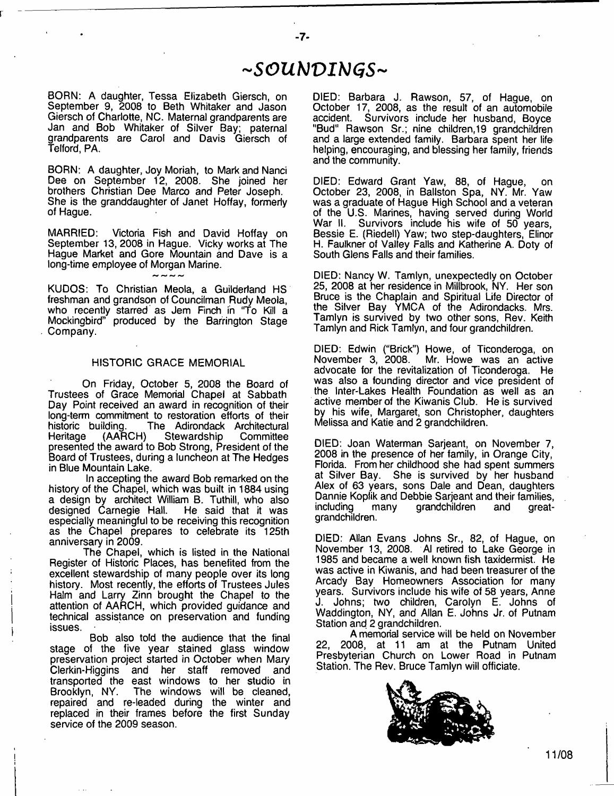# *- S O U b J V I b l G S -*

 $-7-$ 

BORN: A daughter, Tessa Elizabeth Giersch, on September 9, 2008 to Beth Whitaker and Jason Giersch of Charlotte, NC. Maternal grandparents are Jan and Bob Whitaker of Silver Bay; paternal grandparents are Carol and Davis Giersch of Telford, PA,

BORN: A daughter, Joy Moriah, to Mark and Nanci Dee on September 12, 2008. She joined her brothers Christian Dee Marco and Peter Joseph. She is the granddaughter of Janet Hoffay, formerly of Hague.

MARRIED: Victoria Fish and David Hoffay on September 13, 2008 in Hague. Vicky works at The Hague Market and Gore Mountain and Dave is a long-time employee of Morgan Marine.

KUDOS: To Christian Meola, a Guilderland HS freshman and grandson of Councilman Rudy Meola, who recently starred as Jem Finch in "To Kill a Mockingbird" produced by the Barrington Stage Company.

### HISTORIC GRACE MEMORIAL

On Friday, October 5, 2008 the Board of Trustees of Grace Memorial Chapel at Sabbath Day Point received an award in recognition of their long-term commitment to restoration efforts of their historic building. The Adirondack Architectural<br>Heritage (AARCH) Stewardship Committee Heritage (AARCH) Stewardship Committee presented the award to Bob Strong, President of the Board of Trustees, during a luncheon at The Hedges in Blue Mountain Lake.

In accepting the award Bob remarked on the history of the Chapel, which was built in 1884 using a design by architect William B. Tuthill, who also designed Carnegie Hall. especially meaningful to be receiving this recognition as the Chapel prepares to celebrate its 125th anniversary in 2009.

The Chapel, which is listed in the National Register of Historic Places, has benefited from the excellent stewardship of many people over its long history. Most recently, the efforts of Trustees Jules Halm and Larry Zinn brought the Chapel to the attention of AARCH, which provided guidance and technical assistance on preservation and funding issues.

Bob also told the audience that the final stage of the five year stained glass window preservation project started in October when Mary Clerkin-Higgins and her staff removed and transported the east windows to her studio in Brooklyn, NY. The windows will be cleaned, repaired and re-leaded during the winter and replaced in their frames before the first Sunday service of the 2009 season.

DIED: Barbara J. Rawson, 57, of Hague, on October 17, 2008, as the result of an automobile accident. Survivors include her husband, Boyce "Bud" Rawson Sr.; nine children, 19 grandchildren and a large extended family. Barbara spent her life helping, encouraging, and blessing her family, friends and the community.

DIED: Edward Grant Yaw, 88, of Hague, on October 23, 2008, in Ballston Spa, NY. Mr. Yaw was a graduate of Hague High School and a veteran of the U.S. Marines, having served during World War II. Survivors include his wife of 50 years, Bessie E. (Riedell) Yaw; two step-daughters, Elinor H. Faulkner of Valley Falls and Katherine A. Doty of South Glens Falls and their families.

DIED: Nancy W. Tamlyn, unexpectedly on October 25, 2008 at her residence in Millbrook, NY. Her son Bruce is the Chaplain and Spiritual Life Director of the Silver Bay YMCA of the Adirondacks. Mrs. Tamlyn is survived by two other sons, Rev. Keith Tamlyn and Rick Tamlyn, and four grandchildren.

DIED: Edwin ("Brick") Howe, of Ticonderoga, on Mr. Howe was an active advocate for the revitalization of Ticonderoga. He was also a founding director and vice president of the Inter-Lakes Health Foundation as well as an active member of the Kiwanis Club. He is survived by his wife, Margaret, son Christopher, daughters Melissa and Katie and 2 grandchildren.

DIED: Joan Waterman Sarjeant, on November 7, 2008 in the presence of her family, in Orange City, Florida. From her childhood she had spent summers at Silver Bay. She is survived by her husband Alex of 63 years, sons Dale and Dean, daughters Dannie Koplik and Debbie Sarjeant and their families, grandchildren grandchildren.

DIED: Allan Evans Johns Sr., 82, of Hague, on November 13, 2008. Al retired to Lake George in 1985 and became a well known fish taxidermist. He was active in Kiwanis, and had been treasurer of the Arcady Bay Homeowners Association for many years. Survivors include his wife of 58 years, Anne Johns; two children, Carolyn E. Johns of Waddington, NY, and Allan E. Johns Jr. of Putnam Station and 2 grandchildren.

A memorial service will be held on November 22, 2008, at 11 am at the Putnam United Presbyterian Church on Lower Road in Putnam Station. The Rev. Bruce Tamlyn will officiate.

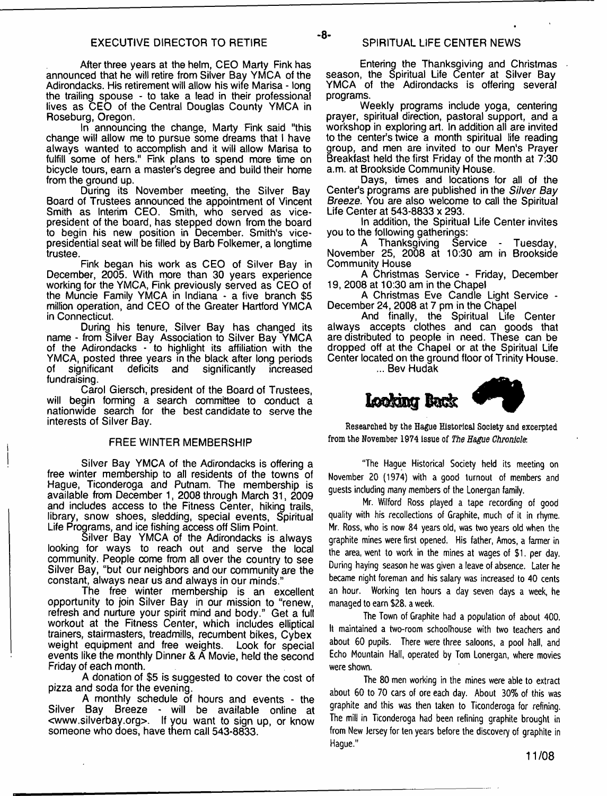After three years at the helm, CEO Marty Fink has announced that he will retire from Silver Bay YMCA of the Adirondacks. His retirement will allow his wife Marisa - long the trailing spouse - to take a lead in their professional lives as CEO of the Central Douglas County YMCA in Roseburg, Oregon.

In announcing the change, Marty Fink said "this change will allow me to pursue some dreams that I have always wanted to accomplish and it will allow Marisa to fulfill some of hers." Fink plans to spend more time on bicycle tours, earn a master's degree and build their home from the ground up.

During its November meeting, the Silver Bay Board of Trustees announced the appointment of Vincent Smith as Interim CEO. Smith, who served as vicepresident of the board, has stepped down from the board to begin his new position in December. Smith's vicepresidential seat will be filled by Barb Folkemer, a longtime trustee.

Fink began his work as CEO of Silver Bay in December, 2005. With more than 30 years experience working for the YMCA, Fink previously served as CEO of the Muncie Family YMCA in Indiana - a five branch \$5 million operation, and CEO of the Greater Hartford YMCA in Connecticut.

During his tenure, Silver Bay has changed its name - from Silver Bay Association to Silver Bay YMCA of the Adirondacks - to highlight its affiliation with the YMCA, posted three years in the black after long periods<br>of significant deficits and significantly increased deficits and fundraising.

Carol Giersch, president of the Board of Trustees, will begin forming a search committee to conduct a nationwide search for the best candidate to serve the interests of Silver Bay.

## FREE WINTER MEMBERSHIP

Silver Bay YMCA of the Adirondacks is offering a free winter membership to all residents of the towns of Hague, Ticonderoga and Putnam. The membership is available from December 1, 2008 through March 31, 2009 and includes access to the Fitness Center, hiking trails, library, snow shoes, sledding, special events, Spiritual Life Programs, and ice fishing access off Slim Point.

Silver Bay YMCA of the Adirondacks is always looking for ways to reach out and serve the local community. People come from all over the country to see Silver Bay, "but our neighbors and our community are the constant, always near us and always in our minds."

The free winter membership is an excellent opportunity to join Silver Bay in our mission to "renew, refresh and nurture your spirit mind and body." Get a full workout at the Fitness Center, which includes elliptical trainers, stairmasters, treadmills, recumbent bikes, Cybex weight equipment and free weights. Look for special events like the monthly Dinner & A Movie, held the second Friday of each month.

A donation of \$5 is suggested to cover the cost of pizza and soda for the evening.

A monthly schedule of hours and events - the Silver Bay Breeze - will be available online at <[www.silverbay.org>](http://www.silverbay.org). If you want to sign up, or know someone who does, have them call 543-8833.

Entering the Thanksgiving and Christmas season, the Spiritual Life Center at Silver Bay YMCA of the Adirondacks is offering several programs.

Weekly programs include yoga, centering prayer, spiritual direction, pastoral support, and a workshop in exploring art. In addition all are invited to the center's twice a month spiritual life reading group, and men are invited to our Men's Prayer Breakfast held the first Friday of the month at 7:30 a.m. at Brookside Community House.

Days, times and locations for all of the Center's programs are published in the *Silver Bay Breeze.* You are also welcome to call the Spiritual Life Center at 543-8833 x 293.

In addition, the Spiritual Life Center invites you to the following gatherings:

A Thanksgiving Service - Tuesday, November 25, 2008 at 10:30 am in Brookside Community House

A Christmas Service - Friday, December 19, 2008 at 10:30 am in the Chapel

A Christmas Eve Candle Light Service - December 24, 2008 at 7 pm in the Chapel

And finally, the Spiritual Life Center always accepts clothes and can goods that are distributed to people in need. These can be dropped off at the Chapel or at the Spiritual Life Center located on the ground floor of Trinity House. ... Bev Hudak



Researched by the Hague Historical Society and excerpted from the November 1974 issue of *The Hague Chronicle.*

"The Hague Historical Society held its meeting on November 20 (1974) with a good turnout of members and guests including many members of the Lonergan family.

Mr. Wilford Ross played a tape recording of good quality with his recollections of Graphite, much of it in rhyme. Mr. Ross, who is now 84 years old, was two years old when the graphite mines were first opened. His father, Amos, a farmer in the area, went to work in the mines at wages of \$1. per day. During haying season he was given a leave of absence. Later he became night foreman and his salary was increased to 40 cents an hour. Working ten hours a day seven days a week, he managed to earn \$28. a week.

The Town of Graphite had a population of about 400. It maintained a two-room schoolhouse with two teachers and about 60 pupils. There were three saloons, a pool hall, and Echo Mountain Hall, operated by Tom Lonergan, where movies were shown.

The 80 men working in the mines were able to extract about 60 to 70 cars of ore each day. About 30% of this was graphite and this was then taken to Ticonderoga for refining. The mill in Ticonderoga had been refining graphite brought in from New Jersey for ten years before the discovery of graphite in Hague."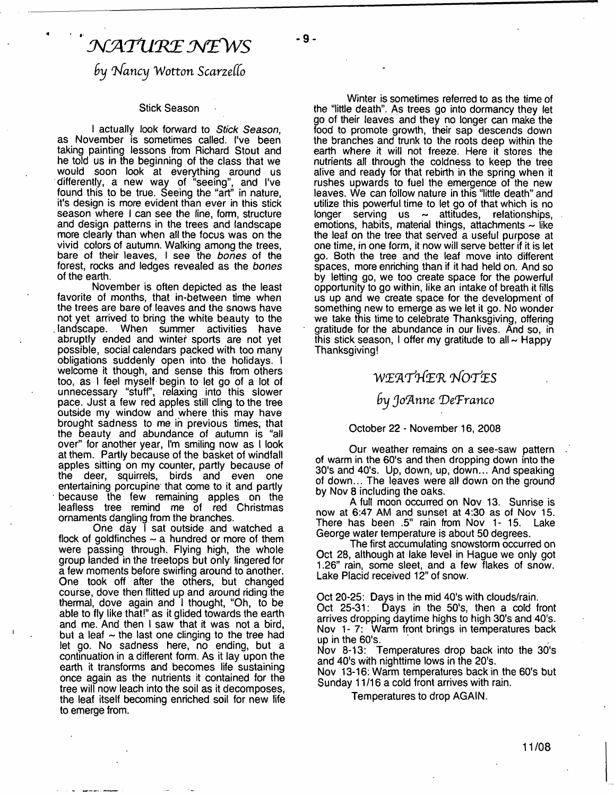# $\mathcal N$ ATURE NEWS

 $b$ y Nancy Wotton Scarzello

## Stick Season

I actually look forward to *Stick Season,* as November is sometimes called. I've been taking painting lessons from Richard Stout and he told us in the beginning of the class that we would soon look at everything around us differently, a new way of "seeing", and I've found this to be true. Seeing the "art" in nature, it's design is more evident than ever in this stick season where I can see the line, form, structure and design patterns in the trees and landscape more clearly than when all the focus was on the vivid colors of autumn. Walking among the trees, bare of their leaves, I see the *bones* of the forest, rocks and ledges revealed as the *bones* of the earth.

November is often depicted as the least favorite of months, that in-between time when the trees are bare of leaves and the snows have not yet arrived to bring the white beauty to the . landscape. When summer activities have abruptly ended and winter sports are not yet possible, social calendars packed with too many obligations suddenly open into the holidays. I welcome it though, and sense this from others too, as I feel myself begin to let go of a lot of unnecessary "stuff, relaxing into this slower pace. Just a few red apples still cling to the tree outside my window and where this may have brought sadness to me in previous times, that the beauty and abundance of autumn is "all over" for another year, I'm smiling now as I look at them. Partly because of the basket of windfall apples sitting on my counter, partly because of the deer, squirrels, birds and even one entertaining porcupine that come to it and partly • because the few remaining apples on the leafless tree remind me of red Christmas ornaments dangling from the branches.

One day I sat outside and watched a flock of goldfinches  $\sim$  a hundred or more of them were passing through. Flying high, the whole group landed in the treetops but only lingered for a few moments before swirling around to another. One took off after the others, but changed course, dove then flitted up and around riding the thermal, dove again and I thought, "Oh, to be able to fly like that!" as it glided towards the earth and me. And then I saw that it was not a bird, but a leaf  $\sim$  the last one clinging to the tree had let go. No sadness here, no ending, but a continuation in a different form. As it lay upon the earth it transforms and becomes life sustaining once again as the nutrients it contained for the tree will now leach into the soil as it decomposes, the leaf itself becoming enriched soil for new life to emerge from.

Winter is sometimes referred to as the time of the "little death". As trees go into dormancy they let go of their leaves and they no longer can make the food to promote growth, their sap descends down the branches and trunk to the roots deep within the earth where it will not freeze. Here it stores the nutrients all through the coldness to keep the tree alive and ready for that rebirth in the spring when it rushes upwards to fuel the emergence of the new leaves. We can follow nature in this "little death" and utilize this powerful time to let go of that which is no longer serving us  $\sim$  attitudes, relationships, longer serving us  $\sim$  attitudes, emotions, habits, material things, attachments  $\sim$  like the leaf on the tree that served a useful purpose at one time, in one form, it now will serve better if it is let go. Both the tree and the leaf move into different spaces, more enriching than if it had held on. And so by letting go, we too create space for the powerful opportunity to go within, like an intake of breath it fills us up and we create space for the development of something new to emerge as we let it go. No wonder we take this time to celebrate Thanksgiving, offering gratitude for the abundance in our lives. And so, in this stick season, I offer my gratitude to all  $\sim$  Happy Thanksgiving!

## *W X 'A 'P rfE 'R 'hfO TtES*

*by Jo'A nne 'D e'Franco*

## October 22 - November 16, 2008

Our weather remains on a see-saw pattern of warm in the 60's and then dropping down into the 30's and 40's. Up, down, up, down... And speaking of down... The leaves were all down on the ground by Nov 8 including the oaks.

A full moon occurred on Nov 13. Sunrise is now at 6:47 AM and sunset at 4:30 as of Nov 15. There has been .5" rain from Nov 1- 15. Lake George water temperature is about 50 degrees.

The first accumulating snowstorm occurred on Oct 28, although at lake level in Hague we only got 1.26" rain, some sleet, and a few flakes of snow. Lake Placid received 12" of snow.

Oct 20-25: Days in the mid 40's with clouds/rain.

Oct 25-31: Days in the 50's, then a cold front arrives dropping daytime highs to high 30's and 40's. Nov 1- 7: Warm front brings in temperatures back up in the 60's.

Nov 8-13: Temperatures drop back into the 30's and 40's with nighttime lows in the 20's.

Nov 13-16: Warm temperatures back in the 60's but Sunday 11/16 a cold front arrives with rain.

Temperatures to drop AGAIN.